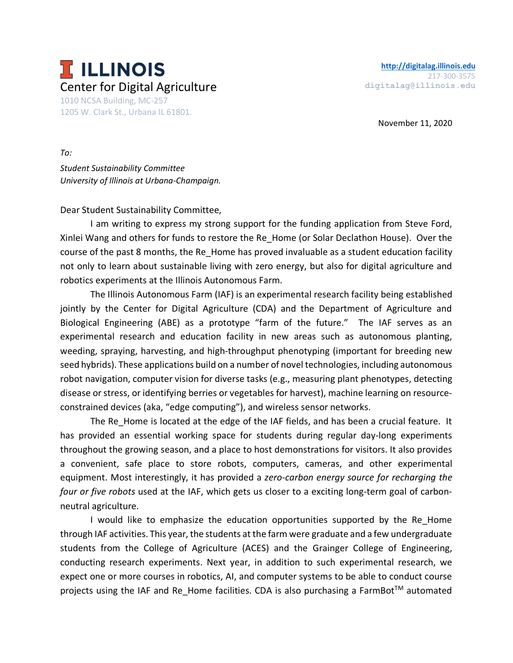

November 11, 2020

*To: Student Sustainability Committee University of Illinois at Urbana-Champaign.*

Dear Student Sustainability Committee,

I am writing to express my strong support for the funding application from Steve Ford, Xinlei Wang and others for funds to restore the Re\_Home (or Solar Declathon House). Over the course of the past 8 months, the Re\_Home has proved invaluable as a student education facility not only to learn about sustainable living with zero energy, but also for digital agriculture and robotics experiments at the Illinois Autonomous Farm.

The Illinois Autonomous Farm (IAF) is an experimental research facility being established jointly by the Center for Digital Agriculture (CDA) and the Department of Agriculture and Biological Engineering (ABE) as a prototype "farm of the future." The IAF serves as an experimental research and education facility in new areas such as autonomous planting, weeding, spraying, harvesting, and high-throughput phenotyping (important for breeding new seed hybrids). These applications build on a number of novel technologies, including autonomous robot navigation, computer vision for diverse tasks (e.g., measuring plant phenotypes, detecting disease or stress, or identifying berries or vegetables for harvest), machine learning on resourceconstrained devices (aka, "edge computing"), and wireless sensor networks.

The Re Home is located at the edge of the IAF fields, and has been a crucial feature. It has provided an essential working space for students during regular day-long experiments throughout the growing season, and a place to host demonstrations for visitors. It also provides a convenient, safe place to store robots, computers, cameras, and other experimental equipment. Most interestingly, it has provided a *zero-carbon energy source for recharging the four or five robots* used at the IAF, which gets us closer to a exciting long-term goal of carbonneutral agriculture.

I would like to emphasize the education opportunities supported by the Re Home through IAF activities. This year, the students at the farm were graduate and a few undergraduate students from the College of Agriculture (ACES) and the Grainger College of Engineering, conducting research experiments. Next year, in addition to such experimental research, we expect one or more courses in robotics, AI, and computer systems to be able to conduct course projects using the IAF and Re Home facilities. CDA is also purchasing a FarmBot<sup>TM</sup> automated